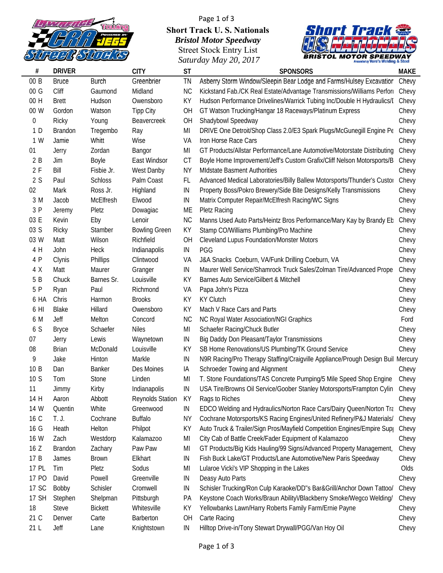

## Page 1 of 3 **Short Track U. S. Nationals** *Bristol Motor Speedway* Street Stock Entry List *S d M 20 2017 Saturday May 20,*



| $\#$  | <b>DRIVER</b>  |                | <b>CITY</b>             | <b>ST</b> | <b>SPONSORS</b>                                                                 | <b>MAKE</b> |
|-------|----------------|----------------|-------------------------|-----------|---------------------------------------------------------------------------------|-------------|
| 00B   | <b>Bruce</b>   | <b>Burch</b>   | Greenbrier              | TN        | Asberry Storm Window/Sleepin Bear Lodge and Farms/Hulsey Excavatior             | Chevy       |
| 00G   | Cliff          | Gaumond        | Midland                 | <b>NC</b> | Kickstand Fab./CK Real Estate/Advantage Transmissions/Williams Perfor           | Chevy       |
| 00 H  | <b>Brett</b>   | Hudson         | Owensboro               | ΚY        | Hudson Performance Drivelines/Warrick Tubing Inc/Double H Hydraulics/I          | Chevy       |
| 00 W  | Gordon         | Watson         | <b>Tipp City</b>        | OH        | GT Watson Trucking/Hangar 18 Raceways/Platinum Express                          | Chevy       |
| 0     | Ricky          | Young          | Beavercreek             | OH        | Shadybowl Speedway                                                              | Chevy       |
| 1 D   | <b>Brandon</b> | Tregembo       | Ray                     | MI        | DRIVE One Detroit/Shop Class 2.0/E3 Spark Plugs/McGunegill Engine Pe            | Chevy       |
| 1 W   | Jamie          | Whitt          | Wise                    | VA        | Iron Horse Race Cars                                                            | Chevy       |
| 01    | Jerry          | Zordan         | Bangor                  | MI        | GT Products/Allstar Performance/Lane Automotive/Motorstate Distributing         | Chevy       |
| 2B    | Jim            | Boyle          | East Windsor            | СT        | Boyle Home Improvement/Jeff's Custom Grafix/Cliff Nelson Motorsports/B          | Chevy       |
| 2F    | Bill           | Fisbie Jr.     | West Danby              | NΥ        | <b>MIdstate Basment Authorities</b>                                             | Chevy       |
| 2S    | Paul           | <b>Schloss</b> | Palm Coast              | FL        | Advanced Medical Laboratories/Billy Ballew Motorsports/Thunder's Custor         | Chevy       |
| 02    | Mark           | Ross Jr.       | Highland                | IN        | Property Boss/Pokro Brewery/Side Bite Designs/Kelly Transmissions               | Chevy       |
| 3 M   | Jacob          | McElfresh      | Elwood                  | IN        | Matrix Computer Repair/McElfresh Racing/WC Signs                                | Chevy       |
| 3 P   | Jeremy         | Pletz          | Dowagiac                | ME        | <b>Pletz Racing</b>                                                             | Chevy       |
| 03 E  | Kevin          | Eby            | Lenoir                  | NС        | Manns Used Auto Parts/Heintz Bros Performance/Mary Kay by Brandy Et             | Chevy       |
| 03 S  | Ricky          | Stamber        | <b>Bowling Green</b>    | ΚY        | Stamp CO/Williams Plumbing/Pro Machine                                          | Chevy       |
| 03 W  | Matt           | Wilson         | Richfield               | OH        | <b>Cleveland Lupus Foundation/Monster Motors</b>                                | Chevy       |
| 4 H   | John           | Heck           | Indianapolis            | IN        | PGG                                                                             | Chevy       |
| 4 P   | Clynis         | Phillips       | Clintwood               | VA        | J&A Snacks Coeburn, VA/Funk Drilling Coeburn, VA                                | Chevy       |
| 4 X   | Matt           | Maurer         | Granger                 | IN        | Maurer Well Service/Shamrock Truck Sales/Zolman Tire/Advanced Prope             | Chevy       |
| 5 B   | Chuck          | Barnes Sr.     | Louisville              | ΚY        | Barnes Auto Service/Gilbert & Mitchell                                          | Chevy       |
| 5 P   | Ryan           | Paul           | Richmond                | VA        | Papa John's Pizza                                                               | Chevy       |
| 6 HA  | Chris          | Harmon         | <b>Brooks</b>           | KY        | <b>KY Clutch</b>                                                                | Chevy       |
| 6 HI  | Blake          | Hillard        | Owensboro               | KΥ        | Mach V Race Cars and Parts                                                      | Chevy       |
| 6 M   | Jeff           | Melton         | Concord                 | <b>NC</b> | NC Royal Water Association/NGI Graphics                                         | Ford        |
| 6 S   | <b>Bryce</b>   | Schaefer       | <b>Niles</b>            | MI        | Schaefer Racing/Chuck Butler                                                    | Chevy       |
| 07    | Jerry          | Lewis          | Waynetown               | IN        | Big Daddy Don Pleasant/Taylor Transmissions                                     | Chevy       |
| 08    | <b>Brian</b>   | McDonald       | Louisville              | KΥ        | SB Home Renovations/US Plumbing/TK Ground Service                               | Chevy       |
| 9     | Jake           | Hinton         | Markle                  | IN        | N9R Racing/Pro Therapy Staffing/Craigville Appliance/Prough Design Buil Mercury |             |
| 10B   | Dan            | <b>Banker</b>  | Des Moines              | ΙA        | Schroeder Towing and Alignment                                                  | Chevy       |
| 10S   | Tom            | Stone          | Linden                  | MI        | T. Stone Foundations/TAS Concrete Pumping/5 Mile Speed Shop Engine              | Chevy       |
| 11    | Jimmy          | Kirby          | Indianapolis            | IN        | USA Tire/Browns Oil Service/Goober Stanley Motorsports/Frampton Cylin Chevy     |             |
| 14 H  | Aaron          | Abbott         | <b>Reynolds Station</b> | ΚY        | Rags to Riches                                                                  | Chevy       |
| 14 W  | Quentin        | White          | Greenwood               | ΙN        | EDCO Welding and Hydraulics/Norton Race Cars/Dairy Queen/Norton Tra Chevy       |             |
| 16 C  | T. J.          | Cochrane       | <b>Buffalo</b>          | NΥ        | Cochrane Motorsports/KS Racing Engines/United Refinery/P&J Materials/           | Chevy       |
| 16 G  | Heath          | Helton         | Philpot                 | ΚY        | Auto Truck & Trailer/Sign Pros/Mayfield Competition Engines/Empire Sup          | Chevy       |
| 16 W  | Zach           | Westdorp       | Kalamazoo               | MI        | City Cab of Battle Creek/Fader Equipment of Kalamazoo                           | Chevy       |
| 16 Z  | <b>Brandon</b> | Zachary        | Paw Paw                 | MI        | GT Products/Big Kids Hauling/99 Signs/Advanced Property Management,             | Chevy       |
| 17 B  | James          | <b>Brown</b>   | Elkhart                 | IN        | Fish Buck Lake/GT Products/Lane Automotive/New Paris Speedway                   | Chevy       |
| 17 PL | Tim            | Pletz          | Sodus                   | MI        | Lularoe Vicki's VIP Shopping in the Lakes                                       | Olds        |
| 17 PO | David          | Powell         | Greenville              | IN        | Deasy Auto Parts                                                                | Chevy       |
| 17 SC | Bobby          | Schisler       | Cromwell                | IN        | Schisler Trucking/Ron Culp Karaoke/DD"s Bar&Grill/Anchor Down Tattoo/           | Chevy       |
| 17 SH | Stephen        | Shelpman       | Pittsburgh              | РA        | Keystone Coach Works/Braun Ability//Blackberry Smoke/Wegco Welding/             | Chevy       |
| 18    | <b>Steve</b>   | <b>Bickett</b> | Whitesville             | ΚY        | Yellowbanks Lawn/Harry Roberts Family Farm/Ernie Payne                          | Chevy       |
| 21 C  | Denver         | Carte          | Barberton               | OH        | Carte Racing                                                                    | Chevy       |
| 21L   | Jeff           | Lane           | Knightstown             | ΙN        | Hilltop Drive-in/Tony Stewart Drywall/PGG/Van Hoy Oil                           | Chevy       |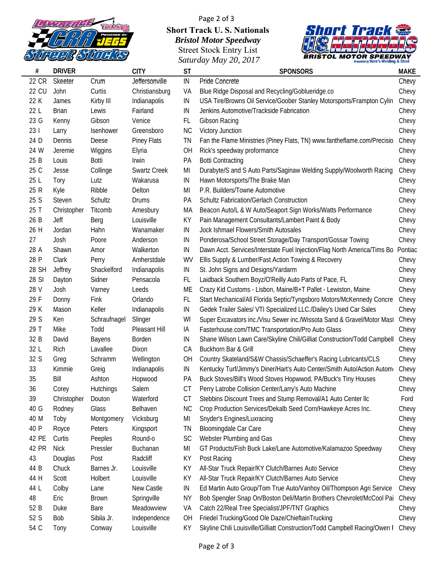

## Page 2 of 3 **Short Track U. S. Nationals** *Bristol Motor Speedway* Street Stock Entry List *S d M 20 2017 Saturday May 20,*



| #            | <b>DRIVER</b> |                  | <b>CITY</b>         | <b>ST</b> | <b>SPONSORS</b>                                                            | <b>MAKE</b> |
|--------------|---------------|------------------|---------------------|-----------|----------------------------------------------------------------------------|-------------|
| 22 CR        | Skeeter       | Crum             | Jeffersonville      | IN        | Pride Concrete                                                             | Chevy       |
| <b>22 CU</b> | John          | Curtis           | Christiansburg      | VA        | Blue Ridge Disposal and Recycling/Goblueridge.co                           | Chevy       |
| 22 K         | James         | Kirby III        | Indianapolis        | IN        | USA Tire/Browns Oil Service/Goober Stanley Motorsports/Frampton Cylin      | Chevy       |
| 22 L         | <b>Brian</b>  | Lewis            | Fairland            | IN        | Jenkins Automotive/Trackside Fabrication                                   | Chevy       |
| 23 G         | Kenny         | Gibson           | Venice              | FL        | Gibson Racing                                                              | Chevy       |
| 231          | Larry         | Isenhower        | Greensboro          | <b>NC</b> | <b>Victory Junction</b>                                                    | Chevy       |
| 24 D         | Dennis        | Deese            | <b>Piney Flats</b>  | TN        | Fan the Flame Ministries (Piney Flats, TN) www.fantheflame.com/Precisio    | Chevy       |
| 24 W         | Jeremie       | Wiggins          | Elyria              | <b>OH</b> | Rick's speedway proformance                                                | Chevy       |
| 25 B         | Louis         | Botti            | Irwin               | PA        | <b>Botti Contracting</b>                                                   | Chevy       |
| 25 C         | Jesse         | Collinge         | <b>Swartz Creek</b> | MI        | Durabyte/S and S Auto Parts/Saginaw Welding Supply/Woolworth Racing        | Chevy       |
| 25 L         | Tory          | Lutz             | Wakarusa            | IN        | Hawn Motorsports/The Brake Man                                             | Chevy       |
| 25 R         | Kyle          | Ribble           | Delton              | MI        | P.R. Builders/Towne Automotive                                             | Chevy       |
| 25 S         | Steven        | Schultz          | Drums               | PA        | <b>Schultz Fabrication/Gerlach Construction</b>                            | Chevy       |
| 25 T         | Christopher   | Titcomb          | Amesbury            | МA        | Beacon Auto/L & W Auto/Seaport Sign Works/Watts Performance                | Chevy       |
| 26 B         | Jeff          | Berg             | Louisville          | ΚY        | Pain Management Consultants/Lambert Paint & Body                           | Chevy       |
| 26 H         | Jordan        | Hahn             | Wanamaker           | IN        | Jock Ishmael Flowers/Smith Autosales                                       | Chevy       |
| 27           | Josh          | Poore            | Anderson            | IN        | Ponderosa/School Street Storage/Day Transport/Gossar Towing                | Chevy       |
| 28 A         | Shawn         | Amor             | Walkerton           | IN        | Dawn Acct. Services/Interstate Fuel Injection/Flag North America/Tims Bo   | Pontiac     |
| 28 P         | Clark         | Perry            | Amherstdale         | WV        | Ellis Supply & Lumber/Fast Action Towing & Recovery                        | Chevy       |
| 28 SH        | Jeffrey       | Shackelford      | Indianapolis        | IN        | St. John Signs and Designs/Yardarm                                         | Chevy       |
| 28 SI        | Dayton        | Sidner           | Pensacola           | FL        | Laidback Southern Boyz/O'Reilly Auto Parts of Pace, FL                     | Chevy       |
| 28 V         | Josh          | Varney           | Leeds               | МE        | Crazy Kid Customs - Lisbon, Maine/B+T Pallet - Lewiston, Maine             | Chevy       |
| 29 F         | Donny         | Fink             | Orlando             | FL        | Start Mechanical/All Florida Septic/Tyngsboro Motors/McKennedy Concre      | Chevy       |
| 29 K         | Mason         | Keller           | Indianapolis        | IN        | Gedek Trailer Sales/ VTI Specialized LLC./Dailey's Used Car Sales          | Chevy       |
| 29 S         | Ken           | Schraufnagel     | Slinger             | WI        | Super Excavators inc./Visu Sewer inc./Wissota Sand & Gravel/Motor Mast     | Chevy       |
| 29 T         | Mike          | Todd             | Pleasant Hill       | IA        | Fasterhouse.com/TMC Transportation/Pro Auto Glass                          | Chevy       |
| 32 B         | David         | Bayens           | Borden              | IN        | Shane Wilson Lawn Care/Skyline Chili/Gilliat Construction/Todd Campbell    | Chevy       |
| 32 L         | Rich          | Lavallee         | Dixon               | CA        | Buckhorn Bar & Grill                                                       | Chevy       |
| 32 S         | Greg          | Schramm          | Wellington          | <b>OH</b> | Country Skateland/S&W Chassis/Schaeffer's Racing Lubricants/CLS            | Chevy       |
| 33           | Kimmie        | Greig            | Indianapolis        | IN        | Kentucky Turf/Jimmy's Diner/Hart's Auto Center/Smith Auto/Action Autom     | Chevy       |
| 35           | Bill          | Ashton           | Hopwood             | РA        | Buck Stoves/Bill's Wood Stoves Hopwwod, PA/Buck's Tiny Houses              | Chevy       |
| 36           | Corey         | <b>Hutchings</b> | Salem               | CT        | Perry Latrobe Collision Center/Larry's Auto Machine                        | Chevy       |
| 39           | Christopher   | Douton           | Waterford           | CT        | Stebbins Discount Trees and Stump Removal/A1 Auto Center IIc               | Ford        |
| 40 G         | Rodney        | Glass            | Belhaven            | <b>NC</b> | Crop Production Services/Dekalb Seed Corn/Hawkeye Acres Inc.               | Chevy       |
| 40 M         | Toby          | Montgomery       | Vicksburg           | MI        | Snyder's Engines/Luxracing                                                 | Chevy       |
| 40 P         | Royce         | Peters           | Kingsport           | ΤN        | Bloomingdale Car Care                                                      | Chevy       |
| 42 PE        | Curtis        | Peeples          | Round-o             | SC        | Webster Plumbing and Gas                                                   | Chevy       |
| 42 PR        | <b>Nick</b>   | Pressler         | Buchanan            | MI        | GT Products/Fish Buck Lake/Lane Automotive/Kalamazoo Speedway              | Chevy       |
| 43           | Douglas       | Post             | Radcliff            | ΚY        | Post Racing                                                                | Chevy       |
| 44 B         | Chuck         | Barnes Jr.       | Louisville          | ΚY        | All-Star Truck Repair/KY Clutch/Barnes Auto Service                        | Chevy       |
| 44 H         | Scott         | Holbert          | Louisville          | KY        | All-Star Truck Repair/KY Clutch/Barnes Auto Service                        | Chevy       |
| 44 L         | Colby         | Lane             | New Castle          | IN        | Ed Martin Auto Group/Tom True Auto/Vanhoy Oil/Thompson Agri Service        | Chevy       |
| 48           | Eric          | <b>Brown</b>     | Springville         | ΝY        | Bob Spengler Snap On/Boston Deli/Martin Brothers Chevrolet/McCool Pai      | Chevy       |
| 52 B         | Duke          | Bare             | Meadowview          | VA        | Catch 22/Real Tree Specialist/JPF/TNT Graphics                             | Chevy       |
| 52 S         | Bob           | Sibila Jr.       | Independence        | <b>OH</b> | Friedel Trucking/Good Ole Daze/ChieftainTrucking                           | Chevy       |
| 54 C         | Tony          | Conway           | Louisville          | ΚY        | Skyline Chili Louisville/Gilliatt Construction/Todd Campbell Racing/Owen I | Chevy       |